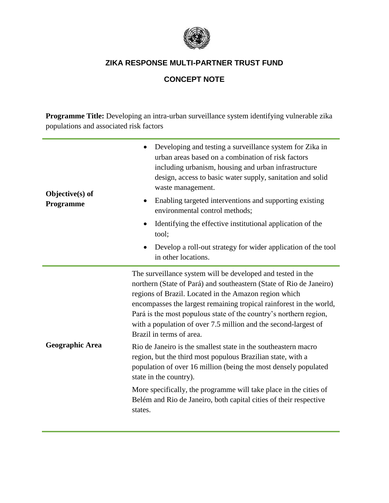

## **CONCEPT NOTE**

**Programme Title:** Developing an intra-urban surveillance system identifying vulnerable zika populations and associated risk factors

| Objective(s) of<br>Programme | Developing and testing a surveillance system for Zika in<br>urban areas based on a combination of risk factors<br>including urbanism, housing and urban infrastructure<br>design, access to basic water supply, sanitation and solid<br>waste management.<br>Enabling targeted interventions and supporting existing<br>٠<br>environmental control methods;<br>Identifying the effective institutional application of the<br>tool;<br>Develop a roll-out strategy for wider application of the tool<br>in other locations.                                                                                                                                                                                                                                                                                                |  |
|------------------------------|---------------------------------------------------------------------------------------------------------------------------------------------------------------------------------------------------------------------------------------------------------------------------------------------------------------------------------------------------------------------------------------------------------------------------------------------------------------------------------------------------------------------------------------------------------------------------------------------------------------------------------------------------------------------------------------------------------------------------------------------------------------------------------------------------------------------------|--|
| <b>Geographic Area</b>       | The surveillance system will be developed and tested in the<br>northern (State of Pará) and southeastern (State of Rio de Janeiro)<br>regions of Brazil. Located in the Amazon region which<br>encompasses the largest remaining tropical rainforest in the world,<br>Pará is the most populous state of the country's northern region,<br>with a population of over 7.5 million and the second-largest of<br>Brazil in terms of area.<br>Rio de Janeiro is the smallest state in the southeastern macro<br>region, but the third most populous Brazilian state, with a<br>population of over 16 million (being the most densely populated<br>state in the country).<br>More specifically, the programme will take place in the cities of<br>Belém and Rio de Janeiro, both capital cities of their respective<br>states. |  |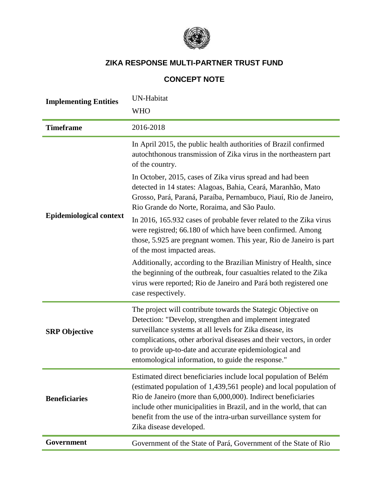

# **CONCEPT NOTE**

| <b>Implementing Entities</b>   | <b>UN-Habitat</b>                                                                                                                                                                                                                                                                                                                                                            |  |  |
|--------------------------------|------------------------------------------------------------------------------------------------------------------------------------------------------------------------------------------------------------------------------------------------------------------------------------------------------------------------------------------------------------------------------|--|--|
|                                | <b>WHO</b>                                                                                                                                                                                                                                                                                                                                                                   |  |  |
| <b>Timeframe</b>               | 2016-2018                                                                                                                                                                                                                                                                                                                                                                    |  |  |
| <b>Epidemiological context</b> | In April 2015, the public health authorities of Brazil confirmed<br>autochthonous transmission of Zika virus in the northeastern part<br>of the country.                                                                                                                                                                                                                     |  |  |
|                                | In October, 2015, cases of Zika virus spread and had been<br>detected in 14 states: Alagoas, Bahia, Ceará, Maranhão, Mato<br>Grosso, Pará, Paraná, Paraíba, Pernambuco, Piauí, Rio de Janeiro,<br>Rio Grande do Norte, Roraima, and São Paulo.                                                                                                                               |  |  |
|                                | In 2016, 165.932 cases of probable fever related to the Zika virus<br>were registred; 66.180 of which have been confirmed. Among<br>those, 5.925 are pregnant women. This year, Rio de Janeiro is part<br>of the most impacted areas.                                                                                                                                        |  |  |
|                                | Additionally, according to the Brazilian Ministry of Health, since<br>the beginning of the outbreak, four casualties related to the Zika<br>virus were reported; Rio de Janeiro and Pará both registered one<br>case respectively.                                                                                                                                           |  |  |
| <b>SRP</b> Objective           | The project will contribute towards the Stategic Objective on<br>Detection: "Develop, strengthen and implement integrated<br>surveillance systems at all levels for Zika disease, its<br>complications, other arborival diseases and their vectors, in order<br>to provide up-to-date and accurate epidemiological and<br>entomological information, to guide the response." |  |  |
| <b>Beneficiaries</b>           | Estimated direct beneficiaries include local population of Belém<br>(estimated population of 1,439,561 people) and local population of<br>Rio de Janeiro (more than 6,000,000). Indirect beneficiaries<br>include other municipalities in Brazil, and in the world, that can<br>benefit from the use of the intra-urban surveillance system for<br>Zika disease developed.   |  |  |
| Government                     | Government of the State of Pará, Government of the State of Rio                                                                                                                                                                                                                                                                                                              |  |  |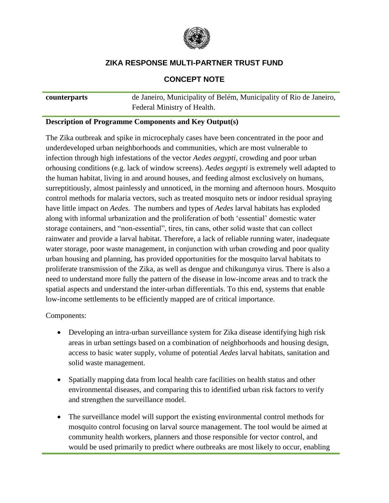

#### **CONCEPT NOTE**

**counterparts** de Janeiro, Municipality of Belém, Municipality of Rio de Janeiro, Federal Ministry of Health.

#### **Description of Programme Components and Key Output(s)**

The Zika outbreak and spike in microcephaly cases have been concentrated in the poor and underdeveloped urban neighborhoods and communities, which are most vulnerable to infection through high infestations of the vector *Aedes aegypti,* crowding and poor urban orhousing conditions (e.g. lack of window screens). *Aedes aegypti* is extremely well adapted to the human habitat, living in and around houses, and feeding almost exclusively on humans, surreptitiously, almost painlessly and unnoticed, in the morning and afternoon hours. Mosquito control methods for malaria vectors, such as treated mosquito nets or indoor residual spraying have little impact on *Aedes.* The numbers and types of *Aedes* larval habitats has exploded along with informal urbanization and the proliferation of both 'essential' domestic water storage containers, and "non-essential", tires, tin cans, other solid waste that can collect rainwater and provide a larval habitat. Therefore, a lack of reliable running water, inadequate water storage, poor waste management, in conjunction with urban crowding and poor quality urban housing and planning, has provided opportunities for the mosquito larval habitats to proliferate transmission of the Zika, as well as dengue and chikungunya virus. There is also a need to understand more fully the pattern of the disease in low-income areas and to track the spatial aspects and understand the inter-urban differentials. To this end, systems that enable low-income settlements to be efficiently mapped are of critical importance.

Components:

- Developing an intra-urban surveillance system for Zika disease identifying high risk areas in urban settings based on a combination of neighborhoods and housing design, access to basic water supply, volume of potential *Aedes* larval habitats, sanitation and solid waste management.
- Spatially mapping data from local health care facilities on health status and other environmental diseases, and comparing this to identified urban risk factors to verify and strengthen the surveillance model.
- The surveillance model will support the existing environmental control methods for mosquito control focusing on larval source management. The tool would be aimed at community health workers, planners and those responsible for vector control, and would be used primarily to predict where outbreaks are most likely to occur, enabling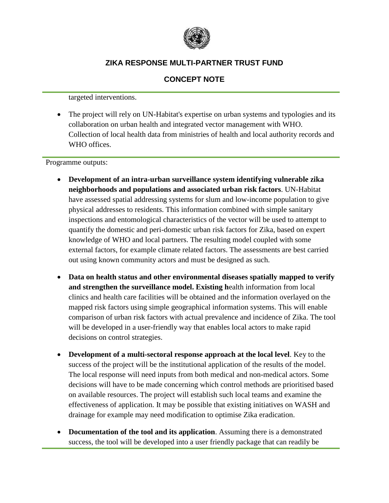

### **CONCEPT NOTE**

targeted interventions.

 The project will rely on UN-Habitat's expertise on urban systems and typologies and its collaboration on urban health and integrated vector management with WHO. Collection of local health data from ministries of health and local authority records and WHO offices.

Programme outputs:

- **Development of an intra-urban surveillance system identifying vulnerable zika neighborhoods and populations and associated urban risk factors**. UN-Habitat have assessed spatial addressing systems for slum and low-income population to give physical addresses to residents. This information combined with simple sanitary inspections and entomological characteristics of the vector will be used to attempt to quantify the domestic and peri-domestic urban risk factors for Zika, based on expert knowledge of WHO and local partners. The resulting model coupled with some external factors, for example climate related factors. The assessments are best carried out using known community actors and must be designed as such.
- **Data on health status and other environmental diseases spatially mapped to verify and strengthen the surveillance model. Existing h**ealth information from local clinics and health care facilities will be obtained and the information overlayed on the mapped risk factors using simple geographical information systems. This will enable comparison of urban risk factors with actual prevalence and incidence of Zika. The tool will be developed in a user-friendly way that enables local actors to make rapid decisions on control strategies.
- **Development of a multi-sectoral response approach at the local level**. Key to the success of the project will be the institutional application of the results of the model. The local response will need inputs from both medical and non-medical actors. Some decisions will have to be made concerning which control methods are prioritised based on available resources. The project will establish such local teams and examine the effectiveness of application. It may be possible that existing initiatives on WASH and drainage for example may need modification to optimise Zika eradication.
- **Documentation of the tool and its application**. Assuming there is a demonstrated success, the tool will be developed into a user friendly package that can readily be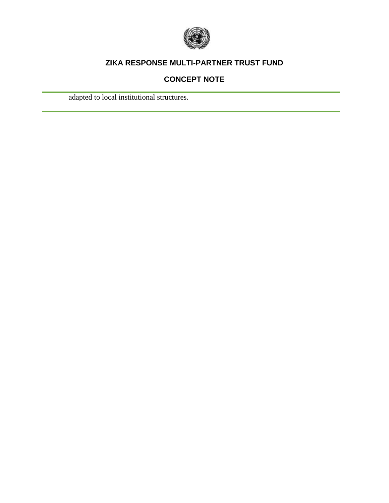

## **CONCEPT NOTE**

adapted to local institutional structures.